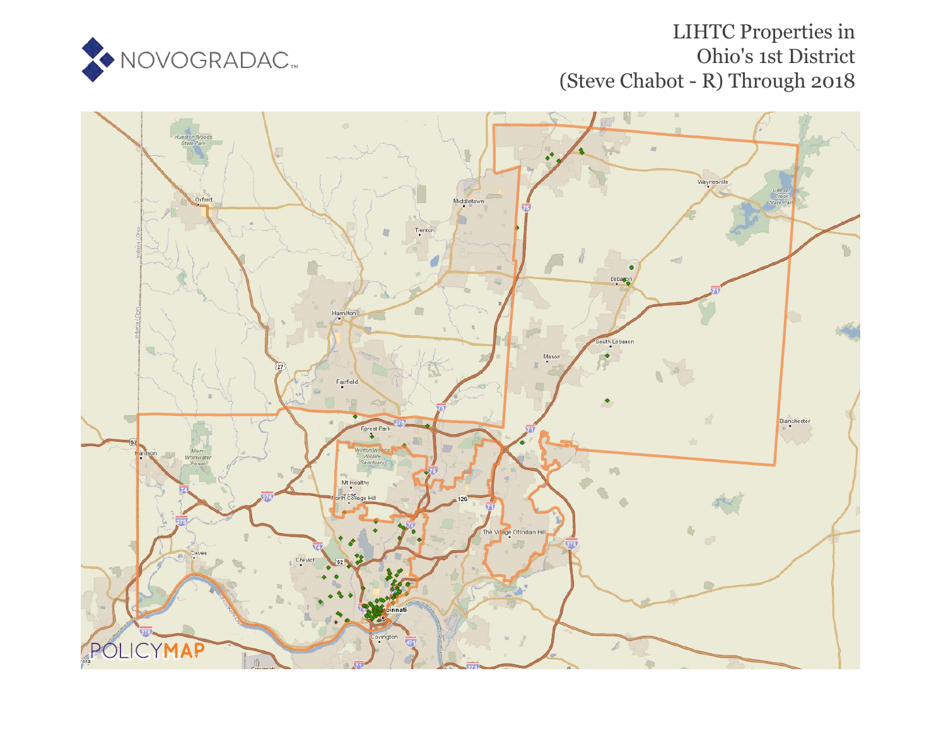

# LIHTC Properties in Ohio's 1st District (Steve Chabot - R) Through 2018

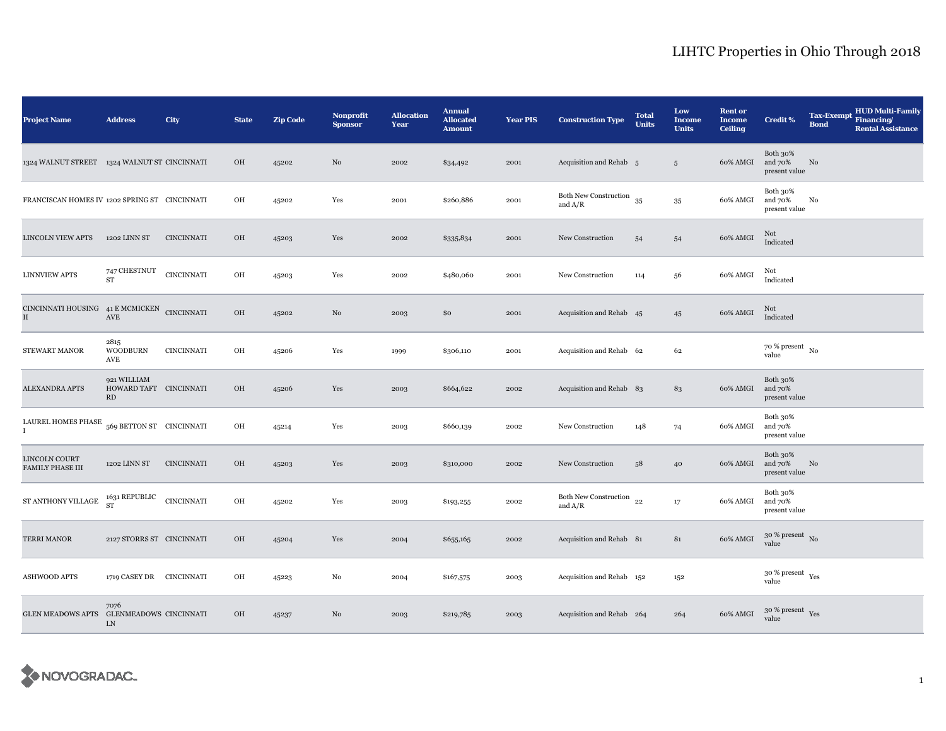| <b>Project Name</b>                                                 | <b>Address</b>                              | City              | <b>State</b> | <b>Zip Code</b> | <b>Nonprofit</b><br><b>Sponsor</b> | <b>Allocation</b><br>Year | <b>Annual</b><br><b>Allocated</b><br><b>Amount</b> | <b>Year PIS</b> | <b>Construction Type</b>           | <b>Total</b><br><b>Units</b> | Low<br><b>Income</b><br><b>Units</b> | <b>Rent or</b><br><b>Income</b><br><b>Ceiling</b> | <b>Credit %</b>                        | <b>Tax-Exempt</b><br><b>Bond</b> | <b>HUD Multi-Family</b><br>Financing/<br><b>Rental Assistance</b> |
|---------------------------------------------------------------------|---------------------------------------------|-------------------|--------------|-----------------|------------------------------------|---------------------------|----------------------------------------------------|-----------------|------------------------------------|------------------------------|--------------------------------------|---------------------------------------------------|----------------------------------------|----------------------------------|-------------------------------------------------------------------|
| 1324 WALNUT STREET 1324 WALNUT ST CINCINNATI                        |                                             |                   | OH           | 45202           | $\rm No$                           | 2002                      | \$34,492                                           | 2001            | Acquisition and Rehab 5            |                              | $5\phantom{.0}$                      | 60% AMGI                                          | Both 30%<br>and 70%<br>present value   | $\rm No$                         |                                                                   |
| FRANCISCAN HOMES IV 1202 SPRING ST CINCINNATI                       |                                             |                   | OH           | 45202           | Yes                                | 2001                      | \$260,886                                          | 2001            | Both New Construction<br>and $A/R$ | 35                           | $35\,$                               | 60% AMGI                                          | Both 30%<br>and 70%<br>present value   | No                               |                                                                   |
| <b>LINCOLN VIEW APTS</b>                                            | 1202 LINN ST                                | <b>CINCINNATI</b> | OH           | 45203           | Yes                                | 2002                      | \$335,834                                          | 2001            | New Construction                   | 54                           | 54                                   | 60% AMGI                                          | Not<br>Indicated                       |                                  |                                                                   |
| <b>LINNVIEW APTS</b>                                                | 747 CHESTNUT<br><b>ST</b>                   | <b>CINCINNATI</b> | OH           | 45203           | Yes                                | 2002                      | \$480,060                                          | 2001            | New Construction                   | 114                          | 56                                   | 60% AMGI                                          | Not<br>Indicated                       |                                  |                                                                   |
| CINCINNATI HOUSING 41 E MCMICKEN CINCINNATI<br>$\scriptstyle\rm II$ | AVE                                         |                   | OH           | 45202           | No                                 | 2003                      | \$0                                                | 2001            | Acquisition and Rehab 45           |                              | 45                                   | 60% AMGI                                          | Not<br>Indicated                       |                                  |                                                                   |
| STEWART MANOR                                                       | 2815<br><b>WOODBURN</b><br>AVE              | <b>CINCINNATI</b> | $\rm OH$     | 45206           | Yes                                | 1999                      | \$306,110                                          | 2001            | Acquisition and Rehab 62           |                              | 62                                   |                                                   | $70~\%$ present $~$ No value           |                                  |                                                                   |
| ALEXANDRA APTS                                                      | 921 WILLIAM<br>HOWARD TAFT CINCINNATI<br>RD |                   | OH           | 45206           | Yes                                | 2003                      | \$664,622                                          | 2002            | Acquisition and Rehab 83           |                              | 83                                   | 60% AMGI                                          | Both 30%<br>and 70%<br>present value   |                                  |                                                                   |
| LAUREL HOMES PHASE                                                  | 569 BETTON ST CINCINNATI                    |                   | $\rm OH$     | 45214           | Yes                                | 2003                      | \$660,139                                          | 2002            | New Construction                   | 148                          | 74                                   | 60% AMGI                                          | Both 30%<br>and 70%<br>present value   |                                  |                                                                   |
| LINCOLN COURT<br><b>FAMILY PHASE III</b>                            | 1202 LINN ST                                | <b>CINCINNATI</b> | OH           | 45203           | Yes                                | 2003                      | \$310,000                                          | 2002            | New Construction                   | 58                           | 40                                   | 60% AMGI                                          | Both 30%<br>and 70%<br>present value   | No                               |                                                                   |
| ${\rm ST}$ ANTHONY VILLAGE                                          | 1631 REPUBLIC<br>ST                         | <b>CINCINNATI</b> | OH           | 45202           | Yes                                | 2003                      | \$193,255                                          | 2002            | Both New Construction<br>and $A/R$ | 22                           | 17                                   | 60% AMGI                                          | Both 30%<br>and 70%<br>present value   |                                  |                                                                   |
| <b>TERRI MANOR</b>                                                  | 2127 STORRS ST CINCINNATI                   |                   | OH           | 45204           | Yes                                | 2004                      | \$655,165                                          | 2002            | Acquisition and Rehab 81           |                              | 81                                   | 60% AMGI                                          | $30$ % present $\,$ No $\,$<br>value   |                                  |                                                                   |
| <b>ASHWOOD APTS</b>                                                 | 1719 CASEY DR CINCINNATI                    |                   | OH           | 45223           | No                                 | 2004                      | \$167,575                                          | 2003            | Acquisition and Rehab 152          |                              | 152                                  |                                                   | $30$ % present $\,$ $\rm Yes$<br>value |                                  |                                                                   |
| GLEN MEADOWS APTS GLENMEADOWS CINCINNATI                            | 7076<br>LN                                  |                   | OH           | 45237           | No                                 | 2003                      | \$219,785                                          | 2003            | Acquisition and Rehab 264          |                              | 264                                  | 60% AMGI                                          | $30~\%$ present $\,$ Yes value         |                                  |                                                                   |

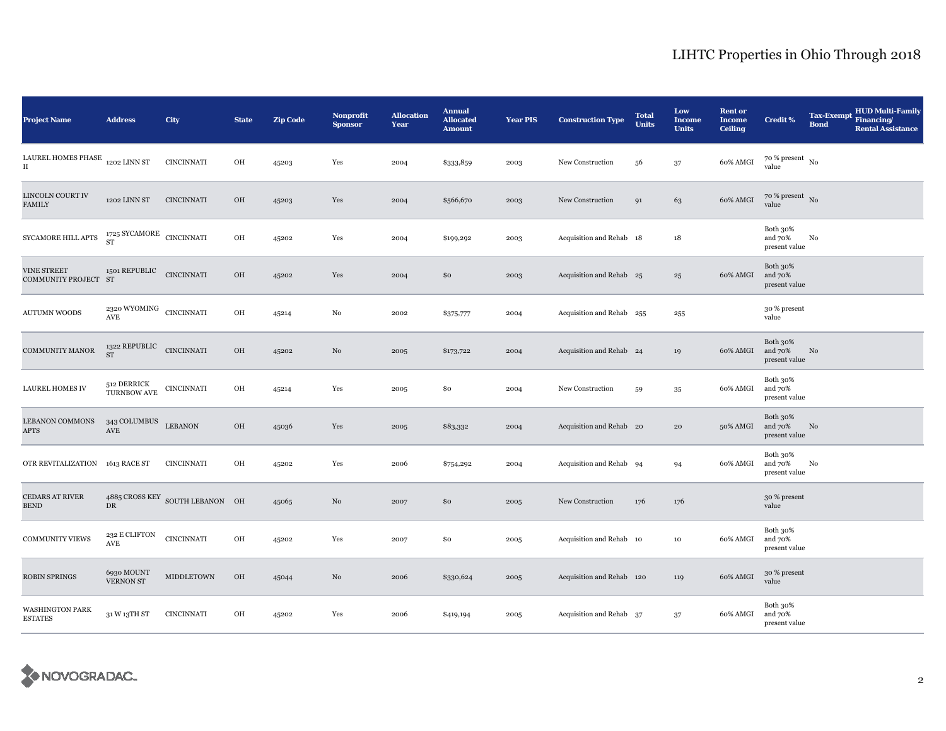| <b>Project Name</b>                                                                                                                               | <b>Address</b>                                            | City                                        | <b>State</b> | <b>Zip Code</b> | Nonprofit<br><b>Sponsor</b> | <b>Allocation</b><br>Year | <b>Annual</b><br><b>Allocated</b><br><b>Amount</b> | <b>Year PIS</b> | <b>Construction Type</b>  | <b>Total</b><br><b>Units</b> | Low<br><b>Income</b><br><b>Units</b> | <b>Rent or</b><br><b>Income</b><br><b>Ceiling</b> | <b>Credit %</b>                        | <b>Tax-Exempt</b><br><b>Bond</b> | <b>HUD Multi-Family</b><br>Financing/<br><b>Rental Assistance</b> |
|---------------------------------------------------------------------------------------------------------------------------------------------------|-----------------------------------------------------------|---------------------------------------------|--------------|-----------------|-----------------------------|---------------------------|----------------------------------------------------|-----------------|---------------------------|------------------------------|--------------------------------------|---------------------------------------------------|----------------------------------------|----------------------------------|-------------------------------------------------------------------|
| LAUREL HOMES PHASE $_{\rm 1202}$ LINN ST<br>$\scriptstyle\rm II$                                                                                  |                                                           | <b>CINCINNATI</b>                           | OH           | 45203           | Yes                         | 2004                      | \$333,859                                          | 2003            | New Construction          | 56                           | $37\,$                               | 60% AMGI                                          | $70\,\%$ present $\,$ No $\,$<br>value |                                  |                                                                   |
| <b>LINCOLN COURT IV</b><br><b>FAMILY</b>                                                                                                          | 1202 LINN ST                                              | <b>CINCINNATI</b>                           | OH           | 45203           | Yes                         | 2004                      | \$566,670                                          | 2003            | New Construction          | 91                           | 63                                   | 60% AMGI                                          | $70~\%$ present $~$ No value           |                                  |                                                                   |
| $\begin{array}{lll} \text {SYCAMORE HILL APTS} & \begin{array}{l} \text {1725 SYCAMORE} \end{array} & \text {CINCINNATT} \end{array} \end{array}$ |                                                           |                                             | OH           | 45202           | Yes                         | 2004                      | \$199,292                                          | 2003            | Acquisition and Rehab 18  |                              | $^{\rm 18}$                          |                                                   | Both 30%<br>and 70%<br>present value   | No                               |                                                                   |
| VINE STREET<br>COMMUNITY PROJECT ST                                                                                                               | 1501 REPUBLIC                                             | <b>CINCINNATI</b>                           | OH           | 45202           | Yes                         | 2004                      | \$0                                                | 2003            | Acquisition and Rehab 25  |                              | 25                                   | 60% AMGI                                          | Both 30%<br>and 70%<br>present value   |                                  |                                                                   |
| <b>AUTUMN WOODS</b>                                                                                                                               | $\,$ 2320 WYOMING $\,$ CINCINNATI<br>$\operatorname{AVE}$ |                                             | OH           | 45214           | $\rm No$                    | 2002                      | \$375,777                                          | 2004            | Acquisition and Rehab 255 |                              | 255                                  |                                                   | 30 % present<br>value                  |                                  |                                                                   |
| COMMUNITY MANOR                                                                                                                                   | 1322 REPUBLIC CINCINNATI ST                               |                                             | OH           | 45202           | No                          | 2005                      | \$173,722                                          | 2004            | Acquisition and Rehab 24  |                              | 19                                   | 60% AMGI                                          | Both 30%<br>and 70%<br>present value   | No                               |                                                                   |
| <b>LAUREL HOMES IV</b>                                                                                                                            | 512 DERRICK<br>TURNBOW AVE                                | CINCINNATI                                  | OH           | 45214           | Yes                         | 2005                      | \$0                                                | 2004            | New Construction          | 59                           | 35                                   | 60% AMGI                                          | Both 30%<br>and 70%<br>present value   |                                  |                                                                   |
| LEBANON COMMONS<br>APTS                                                                                                                           | $343$ COLUMBUS $\quad$ LEBANON<br>$\operatorname{AVE}$    |                                             | OH           | 45036           | Yes                         | 2005                      | \$83,332                                           | 2004            | Acquisition and Rehab 20  |                              | 20                                   | 50% AMGI                                          | Both 30%<br>and 70%<br>present value   | No                               |                                                                   |
| OTR REVITALIZATION 1613 RACE ST                                                                                                                   |                                                           | <b>CINCINNATI</b>                           | OH           | 45202           | Yes                         | 2006                      | \$754,292                                          | 2004            | Acquisition and Rehab 94  |                              | 94                                   | 60% AMGI                                          | Both 30%<br>and 70%<br>present value   | No                               |                                                                   |
| <b>CEDARS AT RIVER</b><br><b>BEND</b>                                                                                                             | DR                                                        | $4885$ CROSS KEY $\,$ SOUTH LEBANON $\,$ OH |              | 45065           | No                          | 2007                      | \$0                                                | 2005            | New Construction          | 176                          | 176                                  |                                                   | 30 % present<br>value                  |                                  |                                                                   |
| <b>COMMUNITY VIEWS</b>                                                                                                                            | 232 E CLIFTON<br>AVE                                      | <b>CINCINNATI</b>                           | OH           | 45202           | Yes                         | 2007                      | \$0                                                | 2005            | Acquisition and Rehab 10  |                              | 10                                   | 60% AMGI                                          | Both 30%<br>and 70%<br>present value   |                                  |                                                                   |
| <b>ROBIN SPRINGS</b>                                                                                                                              | 6930 MOUNT<br>VERNON ST                                   | <b>MIDDLETOWN</b>                           | $_{\rm OH}$  | 45044           | No                          | 2006                      | \$330,624                                          | 2005            | Acquisition and Rehab 120 |                              | 119                                  | 60% AMGI                                          | 30 % present<br>value                  |                                  |                                                                   |
| WASHINGTON PARK<br><b>ESTATES</b>                                                                                                                 | 31 W 13TH ST                                              | <b>CINCINNATI</b>                           | OH           | 45202           | Yes                         | 2006                      | \$419,194                                          | 2005            | Acquisition and Rehab 37  |                              | 37                                   | 60% AMGI                                          | Both 30%<br>and 70%<br>present value   |                                  |                                                                   |

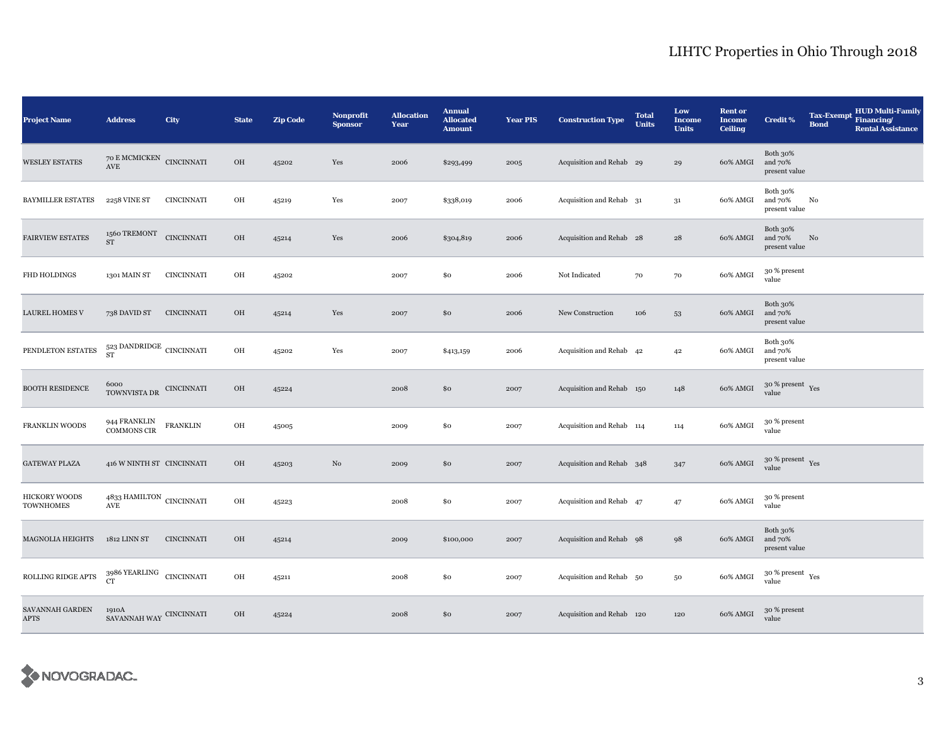| <b>Project Name</b>                      | <b>Address</b>                                                                                                                                                                                                                                                                   | City              | <b>State</b> | <b>Zip Code</b> | <b>Nonprofit</b><br><b>Sponsor</b> | <b>Allocation</b><br>Year | <b>Annual</b><br><b>Allocated</b><br><b>Amount</b> | <b>Year PIS</b> | <b>Construction Type</b>  | <b>Total</b><br><b>Units</b> | Low<br><b>Income</b><br><b>Units</b> | <b>Rent or</b><br>Income<br><b>Ceiling</b> | <b>Credit %</b>                      | <b>Tax-Exempt</b><br><b>Bond</b> | HUD Multi-Family<br>Financing/<br><b>Rental Assistance</b> |
|------------------------------------------|----------------------------------------------------------------------------------------------------------------------------------------------------------------------------------------------------------------------------------------------------------------------------------|-------------------|--------------|-----------------|------------------------------------|---------------------------|----------------------------------------------------|-----------------|---------------------------|------------------------------|--------------------------------------|--------------------------------------------|--------------------------------------|----------------------------------|------------------------------------------------------------|
| <b>WESLEY ESTATES</b>                    | $70$ E MCMICKEN $\,$ CINCINNATI<br>$\operatorname{AVE}$                                                                                                                                                                                                                          |                   | $_{\rm OH}$  | 45202           | Yes                                | 2006                      | \$293,499                                          | 2005            | Acquisition and Rehab 29  |                              | 29                                   | 60% AMGI                                   | Both 30%<br>and 70%<br>present value |                                  |                                                            |
| <b>BAYMILLER ESTATES</b>                 | 2258 VINE ST                                                                                                                                                                                                                                                                     | <b>CINCINNATI</b> | OH           | 45219           | Yes                                | 2007                      | \$338,019                                          | 2006            | Acquisition and Rehab 31  |                              | $3^{\rm 1}$                          | 60% AMGI                                   | Both 30%<br>and 70%<br>present value | No                               |                                                            |
| <b>FAIRVIEW ESTATES</b>                  | 1560 TREMONT<br><b>ST</b>                                                                                                                                                                                                                                                        | <b>CINCINNATI</b> | $_{\rm OH}$  | 45214           | Yes                                | 2006                      | \$304,819                                          | 2006            | Acquisition and Rehab 28  |                              | ${\bf 28}$                           | 60% AMGI                                   | Both 30%<br>and 70%<br>present value | No                               |                                                            |
| FHD HOLDINGS                             | 1301 MAIN ST                                                                                                                                                                                                                                                                     | <b>CINCINNATI</b> | OH           | 45202           |                                    | 2007                      | \$0                                                | 2006            | Not Indicated             | 70                           | 70                                   | 60% AMGI                                   | 30 % present<br>value                |                                  |                                                            |
| LAUREL HOMES V                           | 738 DAVID ST                                                                                                                                                                                                                                                                     | <b>CINCINNATI</b> | OH           | 45214           | Yes                                | 2007                      | \$0                                                | 2006            | New Construction          | 106                          | 53                                   | 60% AMGI                                   | Both 30%<br>and 70%<br>present value |                                  |                                                            |
| PENDLETON ESTATES                        | 523 DANDRIDGE $\,$ CINCINNATI ST                                                                                                                                                                                                                                                 |                   | $\rm OH$     | 45202           | Yes                                | 2007                      | \$413,159                                          | 2006            | Acquisition and Rehab 42  |                              | 42                                   | 60% AMGI                                   | Both 30%<br>and 70%<br>present value |                                  |                                                            |
| <b>BOOTH RESIDENCE</b>                   | $\fbox{\parbox{1.5cm} {\begin{tabular}{cc} 6000 & 0.000 & 0.000 & 0.000 & 0.000 & 0.000 & 0.000 & 0.000 & 0.000 & 0.000 & 0.000 & 0.000 & 0.000 & 0.000 & 0.000 & 0.000 & 0.000 & 0.000 & 0.000 & 0.000 & 0.000 & 0.000 & 0.000 & 0.000 & 0.000 & 0.000 & 0.000 & 0.000 & 0.000$ |                   | OH           | 45224           |                                    | 2008                      | \$0                                                | 2007            | Acquisition and Rehab 150 |                              | 148                                  | 60% AMGI                                   | $30~\%$ present $\,$ Yes value       |                                  |                                                            |
| FRANKLIN WOODS                           | 944 FRANKLIN<br><b>COMMONS CIR</b>                                                                                                                                                                                                                                               | FRANKLIN          | OH           | 45005           |                                    | 2009                      | \$0                                                | 2007            | Acquisition and Rehab 114 |                              | 114                                  | 60% AMGI                                   | 30 % present<br>value                |                                  |                                                            |
| <b>GATEWAY PLAZA</b>                     | 416 W NINTH ST CINCINNATI                                                                                                                                                                                                                                                        |                   | $_{\rm OH}$  | 45203           | No                                 | 2009                      | \$0                                                | 2007            | Acquisition and Rehab 348 |                              | 347                                  | 60% AMGI                                   | $30~\%$ present $\,$ Yes value       |                                  |                                                            |
| <b>HICKORY WOODS</b><br><b>TOWNHOMES</b> | $4833\,\mbox{HAMILTON}$ CINCINNATI<br><b>AVE</b>                                                                                                                                                                                                                                 |                   | OH           | 45223           |                                    | 2008                      | \$0                                                | 2007            | Acquisition and Rehab 47  |                              | 47                                   | 60% AMGI                                   | 30 % present<br>value                |                                  |                                                            |
| <b>MAGNOLIA HEIGHTS</b>                  | 1812 LINN ST                                                                                                                                                                                                                                                                     | <b>CINCINNATI</b> | OH           | 45214           |                                    | 2009                      | \$100,000                                          | 2007            | Acquisition and Rehab 98  |                              | 98                                   | 60% AMGI                                   | Both 30%<br>and 70%<br>present value |                                  |                                                            |
| ROLLING RIDGE APTS                       | $3986\,{\it YEARLING} \quad {\it CINCINNATI} \,$ CINCINNATI                                                                                                                                                                                                                      |                   | OH           | 45211           |                                    | 2008                      | \$0                                                | 2007            | Acquisition and Rehab 50  |                              | $50\,$                               | 60% AMGI                                   | $30~\%$ present $\,$ Yes value       |                                  |                                                            |
| SAVANNAH GARDEN<br><b>APTS</b>           | 1910A<br>SAVANNAH WAY $\,$ CINCINNATI                                                                                                                                                                                                                                            |                   | OH           | 45224           |                                    | 2008                      | \$0                                                | 2007            | Acquisition and Rehab 120 |                              | 120                                  | 60% AMGI                                   | 30 % present<br>value                |                                  |                                                            |

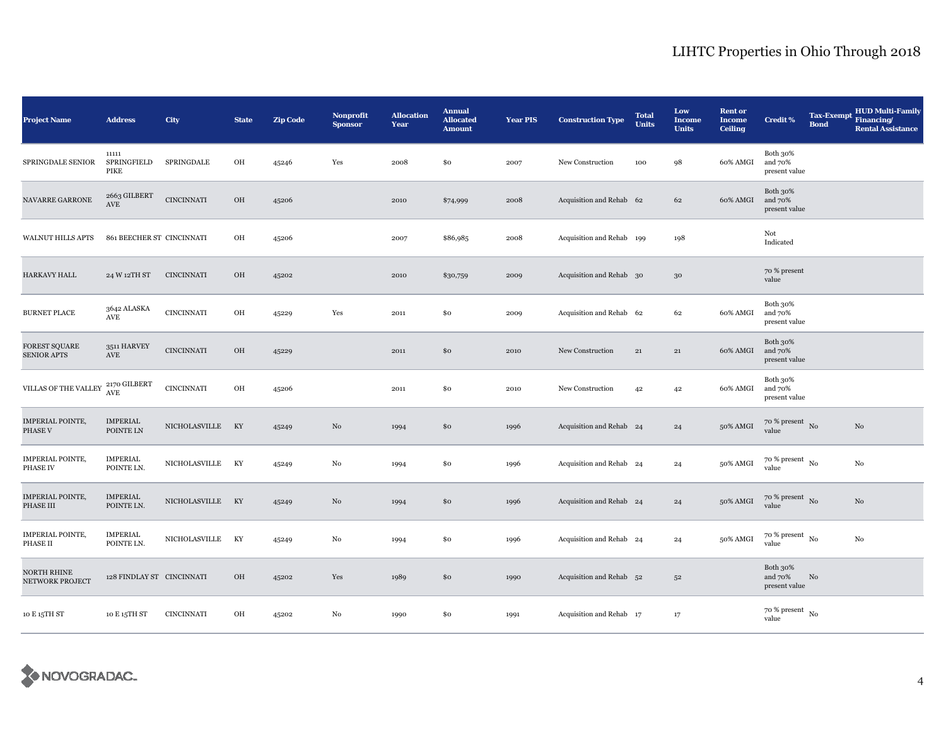| <b>Project Name</b>                        | <b>Address</b>                      | City              | <b>State</b> | <b>Zip Code</b> | <b>Nonprofit</b><br><b>Sponsor</b> | <b>Allocation</b><br>Year | <b>Annual</b><br><b>Allocated</b><br><b>Amount</b> | <b>Year PIS</b> | <b>Construction Type</b>  | <b>Total</b><br><b>Units</b> | Low<br><b>Income</b><br><b>Units</b> | <b>Rent or</b><br><b>Income</b><br><b>Ceiling</b> | <b>Credit %</b>                        | <b>Tax-Exempt</b><br><b>Bond</b> | <b>HUD Multi-Family</b><br>Financing/<br><b>Rental Assistance</b> |
|--------------------------------------------|-------------------------------------|-------------------|--------------|-----------------|------------------------------------|---------------------------|----------------------------------------------------|-----------------|---------------------------|------------------------------|--------------------------------------|---------------------------------------------------|----------------------------------------|----------------------------------|-------------------------------------------------------------------|
| SPRINGDALE SENIOR                          | 11111<br>SPRINGFIELD<br>PIKE        | SPRINGDALE        | OH           | 45246           | Yes                                | 2008                      | \$0                                                | 2007            | New Construction          | 100                          | 98                                   | 60% AMGI                                          | Both 30%<br>and 70%<br>present value   |                                  |                                                                   |
| NAVARRE GARRONE                            | 2663 GILBERT<br>AVE                 | <b>CINCINNATI</b> | $_{\rm OH}$  | 45206           |                                    | 2010                      | \$74,999                                           | 2008            | Acquisition and Rehab 62  |                              | 62                                   | 60% AMGI                                          | Both 30%<br>and 70%<br>present value   |                                  |                                                                   |
| WALNUT HILLS APTS                          | 861 BEECHER ST CINCINNATI           |                   | OH           | 45206           |                                    | 2007                      | \$86,985                                           | 2008            | Acquisition and Rehab 199 |                              | 198                                  |                                                   | Not<br>Indicated                       |                                  |                                                                   |
| <b>HARKAVY HALL</b>                        | 24 W 12TH ST                        | <b>CINCINNATI</b> | OH           | 45202           |                                    | 2010                      | \$30,759                                           | 2009            | Acquisition and Rehab 30  |                              | $30\,$                               |                                                   | 70 % present<br>value                  |                                  |                                                                   |
| <b>BURNET PLACE</b>                        | 3642 ALASKA<br>$\operatorname{AVE}$ | <b>CINCINNATI</b> | OH           | 45229           | Yes                                | 2011                      | \$0                                                | 2009            | Acquisition and Rehab 62  |                              | 62                                   | 60% AMGI                                          | Both 30%<br>and 70%<br>present value   |                                  |                                                                   |
| <b>FOREST SQUARE</b><br><b>SENIOR APTS</b> | 3511 HARVEY<br>$\operatorname{AVE}$ | <b>CINCINNATI</b> | $\rm OH$     | 45229           |                                    | 2011                      | \$0                                                | 2010            | New Construction          | $\bf{21}$                    | $\bf{21}$                            | 60% AMGI                                          | Both 30%<br>and 70%<br>present value   |                                  |                                                                   |
| VILLAS OF THE VALLEY                       | 2170 GILBERT<br>AVE                 | <b>CINCINNATI</b> | OH           | 45206           |                                    | 2011                      | \$0                                                | 2010            | New Construction          | 42                           | 42                                   | 60% AMGI                                          | Both 30%<br>and 70%<br>present value   |                                  |                                                                   |
| <b>IMPERIAL POINTE,</b><br>PHASE V         | IMPERIAL<br>POINTE LN               | NICHOLASVILLE KY  |              | 45249           | $\rm No$                           | 1994                      | \$0                                                | 1996            | Acquisition and Rehab 24  |                              | 24                                   | 50% AMGI                                          | $70\,\%$ present $\,$ No value         |                                  | No                                                                |
| <b>IMPERIAL POINTE,</b><br>PHASE IV        | <b>IMPERIAL</b><br>POINTE LN.       | NICHOLASVILLE KY  |              | 45249           | No                                 | 1994                      | \$0                                                | 1996            | Acquisition and Rehab 24  |                              | 24                                   | 50% AMGI                                          | $70~\%$ present $~$ No value           |                                  | $\rm No$                                                          |
| <b>IMPERIAL POINTE,</b><br>PHASE III       | <b>IMPERIAL</b><br>POINTE LN.       | NICHOLASVILLE KY  |              | 45249           | $\rm No$                           | 1994                      | \$0                                                | 1996            | Acquisition and Rehab 24  |                              | 24                                   | 50% AMGI                                          | $70~\%$ present $~$ No value           |                                  | $_{\rm No}$                                                       |
| <b>IMPERIAL POINTE,</b><br>PHASE II        | IMPERIAL<br>POINTE LN.              | NICHOLASVILLE     | KY           | 45249           | No                                 | 1994                      | \$0                                                | 1996            | Acquisition and Rehab 24  |                              | 24                                   | 50% AMGI                                          | $70$ % present $_{\, \rm No}$<br>value |                                  | No                                                                |
| NORTH RHINE<br>NETWORK PROJECT             | 128 FINDLAY ST CINCINNATI           |                   | OH           | 45202           | Yes                                | 1989                      | \$0                                                | 1990            | Acquisition and Rehab 52  |                              | $5^{\rm 2}$                          |                                                   | Both 30%<br>and 70%<br>present value   | No                               |                                                                   |
| 10 E 15TH ST                               | 10 E 15TH ST                        | <b>CINCINNATI</b> | OH           | 45202           | No                                 | 1990                      | \$0                                                | 1991            | Acquisition and Rehab 17  |                              | 17                                   |                                                   | $70~\%$ present $~$ No value           |                                  |                                                                   |

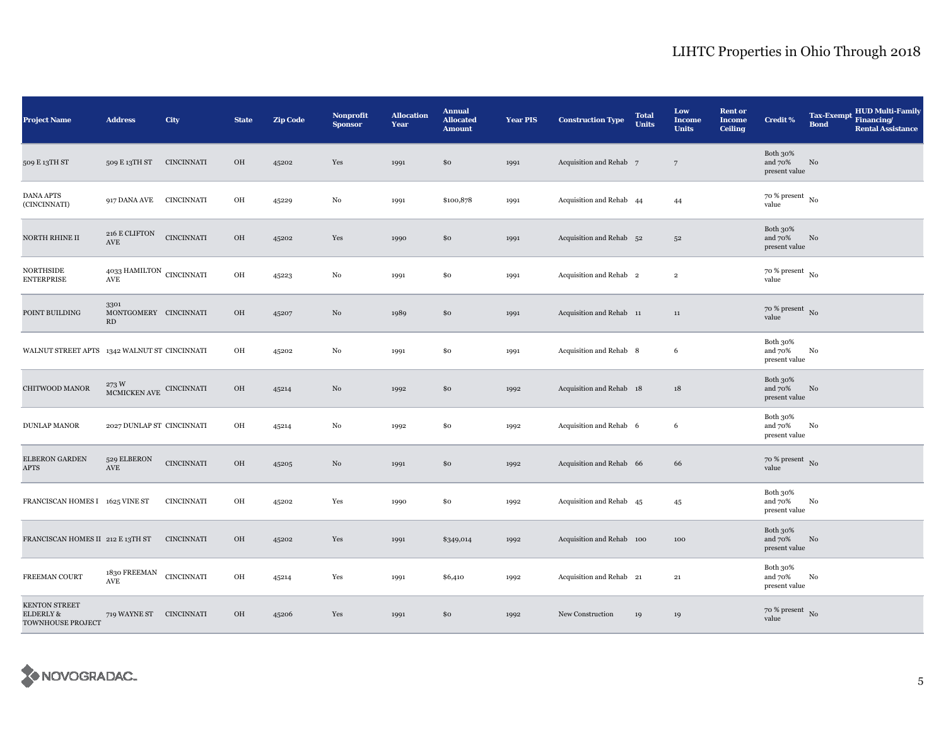| <b>Project Name</b>                             | <b>Address</b>                                             | City              | <b>State</b> | <b>Zip Code</b> | Nonprofit<br><b>Sponsor</b> | <b>Allocation</b><br>Year | <b>Annual</b><br><b>Allocated</b><br><b>Amount</b> | <b>Year PIS</b> | <b>Construction Type</b>  | <b>Total</b><br><b>Units</b> | Low<br><b>Income</b><br><b>Units</b> | <b>Rent or</b><br><b>Income</b><br><b>Ceiling</b> | <b>Credit %</b>                        | <b>Tax-Exempt</b><br><b>Bond</b> | <b>HUD Multi-Family</b><br>Financing/<br><b>Rental Assistance</b> |
|-------------------------------------------------|------------------------------------------------------------|-------------------|--------------|-----------------|-----------------------------|---------------------------|----------------------------------------------------|-----------------|---------------------------|------------------------------|--------------------------------------|---------------------------------------------------|----------------------------------------|----------------------------------|-------------------------------------------------------------------|
| 509 E 13TH ST                                   | 509 E 13TH ST                                              | <b>CINCINNATI</b> | OH           | 45202           | Yes                         | 1991                      | \$0                                                | 1991            | Acquisition and Rehab 7   |                              | $7\phantom{.0}$                      |                                                   | Both 30%<br>and 70%<br>present value   | No                               |                                                                   |
| <b>DANA APTS</b><br>(CINCINNATI)                | 917 DANA AVE                                               | CINCINNATI        | OH           | 45229           | No                          | 1991                      | \$100,878                                          | 1991            | Acquisition and Rehab 44  |                              | 44                                   |                                                   | $70$ % present $_{\, \rm No}$<br>value |                                  |                                                                   |
| NORTH RHINE II                                  | 216 E CLIFTON<br>$\operatorname{AVE}$                      | <b>CINCINNATI</b> | OH           | 45202           | Yes                         | 1990                      | \$0                                                | 1991            | Acquisition and Rehab 52  |                              | $5^{\rm 2}$                          |                                                   | Both 30%<br>and 70%<br>present value   | No                               |                                                                   |
| <b>NORTHSIDE</b><br><b>ENTERPRISE</b>           | $4033\,\mbox{HAMILTON}$ CINCINNATI<br>$\operatorname{AVE}$ |                   | OH           | 45223           | No                          | 1991                      | \$0                                                | 1991            | Acquisition and Rehab 2   |                              | $\overline{2}$                       |                                                   | $70$ % present $_{\, \rm No}$<br>value |                                  |                                                                   |
| POINT BUILDING                                  | 3301<br>MONTGOMERY CINCINNATI<br>RD                        |                   | OH           | 45207           | $\rm No$                    | 1989                      | \$0                                                | 1991            | Acquisition and Rehab 11  |                              | $11\,$                               |                                                   | $70$ % present $\,$ No $\,$<br>value   |                                  |                                                                   |
| WALNUT STREET APTS 1342 WALNUT ST CINCINNATI    |                                                            |                   | OH           | 45202           | No                          | 1991                      | \$0                                                | 1991            | Acquisition and Rehab 8   |                              | 6                                    |                                                   | Both 30%<br>and 70%<br>present value   | No                               |                                                                   |
| CHITWOOD MANOR                                  | $273\,\mathrm{W}$ MCMICKEN AVE CINCINNATI                  |                   | $OH$         | 45214           | No                          | 1992                      | \$0                                                | 1992            | Acquisition and Rehab 18  |                              | 18                                   |                                                   | Both 30%<br>and 70%<br>present value   | No                               |                                                                   |
| <b>DUNLAP MANOR</b>                             | 2027 DUNLAP ST CINCINNATI                                  |                   | OH           | 45214           | No                          | 1992                      | \$0                                                | 1992            | Acquisition and Rehab 6   |                              | 6                                    |                                                   | Both 30%<br>and 70%<br>present value   | $\rm No$                         |                                                                   |
| <b>ELBERON GARDEN</b><br>APTS                   | 529 ELBERON<br>$\operatorname{AVE}$                        | <b>CINCINNATI</b> | OH           | 45205           | $\rm No$                    | 1991                      | \$0                                                | 1992            | Acquisition and Rehab 66  |                              | 66                                   |                                                   | $70~\%$ present $~$ No value           |                                  |                                                                   |
| FRANCISCAN HOMES I 1625 VINE ST                 |                                                            | <b>CINCINNATI</b> | OH           | 45202           | Yes                         | 1990                      | \$0                                                | 1992            | Acquisition and Rehab 45  |                              | 45                                   |                                                   | Both 30%<br>and 70%<br>present value   | No                               |                                                                   |
| FRANCISCAN HOMES II 212 E 13TH ST               |                                                            | <b>CINCINNATI</b> | OH           | 45202           | Yes                         | 1991                      | \$349,014                                          | 1992            | Acquisition and Rehab 100 |                              | 100                                  |                                                   | Both 30%<br>and 70%<br>present value   | No                               |                                                                   |
| FREEMAN COURT                                   | 1830 FREEMAN<br>$\operatorname{AVE}$                       | <b>CINCINNATI</b> | OH           | 45214           | Yes                         | 1991                      | \$6,410                                            | 1992            | Acquisition and Rehab 21  |                              | 21                                   |                                                   | Both 30%<br>and 70%<br>present value   | No                               |                                                                   |
| KENTON STREET<br>ELDERLY &<br>TOWNHOUSE PROJECT | 719 WAYNE ST CINCINNATI                                    |                   | OH           | 45206           | Yes                         | 1991                      | \$0                                                | 1992            | New Construction          | 19                           | 19                                   |                                                   | $70\,\%$ present $\,$ No value         |                                  |                                                                   |

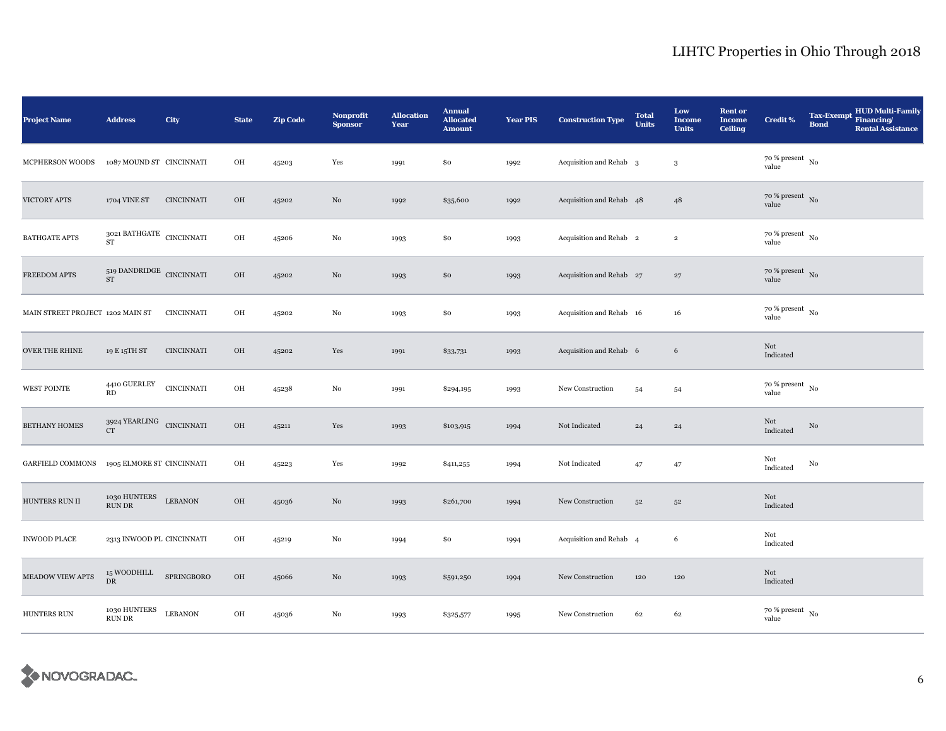| <b>Project Name</b>              | <b>Address</b>                                 | City              | <b>State</b> | <b>Zip Code</b> | <b>Nonprofit</b><br><b>Sponsor</b> | <b>Allocation</b><br>Year | <b>Annual</b><br><b>Allocated</b><br><b>Amount</b> | <b>Year PIS</b> | <b>Construction Type</b>           | <b>Total</b><br><b>Units</b> | Low<br><b>Income</b><br><b>Units</b> | <b>Rent or</b><br><b>Income</b><br><b>Ceiling</b> | <b>Credit %</b>                        | <b>Tax-Exempt</b><br><b>Bond</b> | <b>HUD Multi-Family</b><br>Financing/<br><b>Rental Assistance</b> |
|----------------------------------|------------------------------------------------|-------------------|--------------|-----------------|------------------------------------|---------------------------|----------------------------------------------------|-----------------|------------------------------------|------------------------------|--------------------------------------|---------------------------------------------------|----------------------------------------|----------------------------------|-------------------------------------------------------------------|
| MCPHERSON WOODS                  | 1087 MOUND ST CINCINNATI                       |                   | OH           | 45203           | Yes                                | 1991                      | \$0                                                | 1992            | Acquisition and Rehab <sub>3</sub> |                              | 3                                    |                                                   | $70~\%$ present $~$ No value           |                                  |                                                                   |
| VICTORY APTS                     | 1704 VINE ST                                   | <b>CINCINNATI</b> | OH           | 45202           | $\rm No$                           | 1992                      | \$35,600                                           | 1992            | Acquisition and Rehab 48           |                              | 48                                   |                                                   | $70~\%$ present $~$ No value           |                                  |                                                                   |
| <b>BATHGATE APTS</b>             | $3021$ BATHGATE $\,$ CINCINNATI<br><b>ST</b>   |                   | OH           | 45206           | $_{\rm No}$                        | 1993                      | \$0                                                | 1993            | Acquisition and Rehab 2            |                              | $\mathbf 2$                          |                                                   | $70$ % present $_{\, \rm No}$<br>value |                                  |                                                                   |
| FREEDOM APTS                     | $_{519}$ DANDRIDGE $\,$ CINCINNATI $_{\rm ST}$ |                   | $_{\rm OH}$  | 45202           | No                                 | 1993                      | \$0                                                | 1993            | Acquisition and Rehab 27           |                              | $\bf{27}$                            |                                                   | $70~\%$ present $~$ No value           |                                  |                                                                   |
| MAIN STREET PROJECT 1202 MAIN ST |                                                | <b>CINCINNATI</b> | OH           | 45202           | $_{\rm No}$                        | 1993                      | \$0                                                | 1993            | Acquisition and Rehab 16           |                              | $16\,$                               |                                                   | $70$ % present $_{\, \rm No}$<br>value |                                  |                                                                   |
| <b>OVER THE RHINE</b>            | 19 E 15TH ST                                   | <b>CINCINNATI</b> | OH           | 45202           | Yes                                | 1991                      | \$33,731                                           | 1993            | Acquisition and Rehab 6            |                              | 6                                    |                                                   | Not<br>Indicated                       |                                  |                                                                   |
| <b>WEST POINTE</b>               | $4410 \rm \, GUERLEY$<br>RD                    | <b>CINCINNATI</b> | OH           | 45238           | No                                 | 1991                      | \$294,195                                          | 1993            | New Construction                   | 54                           | 54                                   |                                                   | $70$ % present $_{\, \rm No}$<br>value |                                  |                                                                   |
| <b>BETHANY HOMES</b>             | $3924$ YEARLING $\,$ CINCINNATI<br>CT          |                   | OH           | 45211           | Yes                                | 1993                      | \$103,915                                          | 1994            | Not Indicated                      | $\bf{^{24}}$                 | 24                                   |                                                   | Not<br>Indicated                       | $\rm No$                         |                                                                   |
| <b>GARFIELD COMMONS</b>          | 1905 ELMORE ST CINCINNATI                      |                   | OH           | 45223           | Yes                                | 1992                      | \$411,255                                          | 1994            | Not Indicated                      | 47                           | 47                                   |                                                   | Not<br>Indicated                       | No                               |                                                                   |
| HUNTERS RUN II                   | 1030 HUNTERS<br>RUN DR                         | <b>LEBANON</b>    | OH           | 45036           | No                                 | 1993                      | \$261,700                                          | 1994            | New Construction                   | $5^{\rm 2}$                  | 52                                   |                                                   | Not<br>Indicated                       |                                  |                                                                   |
| <b>INWOOD PLACE</b>              | 2313 INWOOD PL CINCINNATI                      |                   | OH           | 45219           | No                                 | 1994                      | \$0                                                | 1994            | Acquisition and Rehab 4            |                              | 6                                    |                                                   | Not<br>Indicated                       |                                  |                                                                   |
| <b>MEADOW VIEW APTS</b>          | 15 WOODHILL<br>DR                              | SPRINGBORO        | OH           | 45066           | $\rm No$                           | 1993                      | \$591,250                                          | 1994            | New Construction                   | 120                          | 120                                  |                                                   | Not<br>Indicated                       |                                  |                                                                   |
| HUNTERS RUN                      | 1030 HUNTERS<br>RUN DR                         | <b>LEBANON</b>    | OH           | 45036           | No                                 | 1993                      | \$325,577                                          | 1995            | New Construction                   | 62                           | 62                                   |                                                   | $70~\%$ present $~$ No value           |                                  |                                                                   |

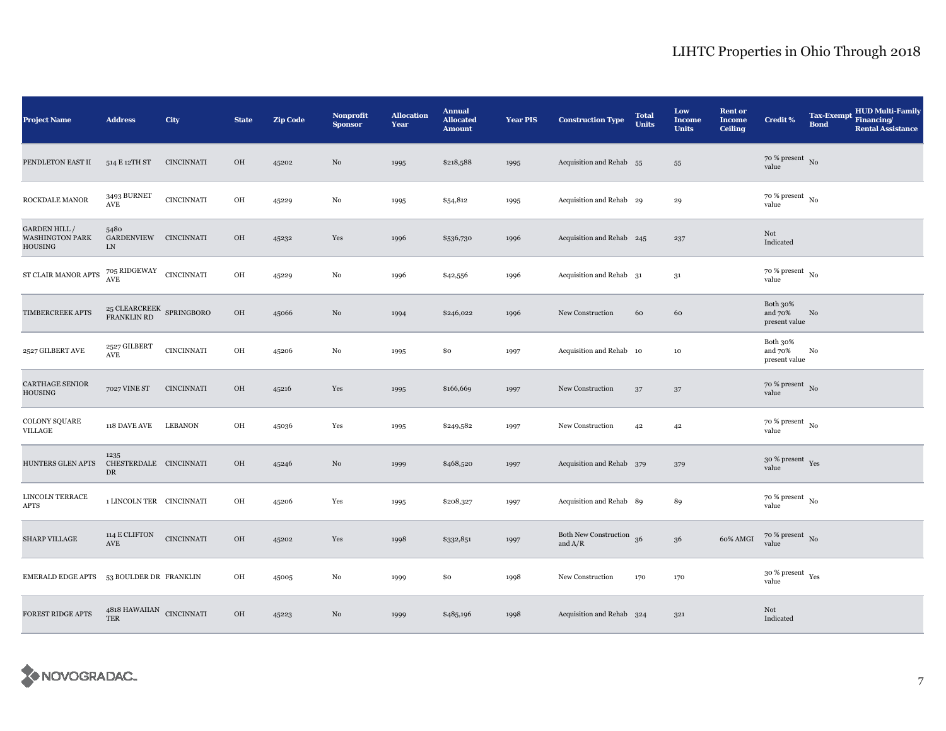| <b>Project Name</b>                                             | <b>Address</b>                              | <b>City</b>       | <b>State</b> | <b>Zip Code</b> | <b>Nonprofit</b><br><b>Sponsor</b> | <b>Allocation</b><br>Year | <b>Annual</b><br><b>Allocated</b><br><b>Amount</b> | <b>Year PIS</b> | <b>Construction Type</b>              | <b>Total</b><br><b>Units</b> | Low<br><b>Income</b><br><b>Units</b> | <b>Rent or</b><br><b>Income</b><br><b>Ceiling</b> | <b>Credit %</b>                        | <b>Tax-Exempt</b><br><b>Bond</b> | <b>HUD Multi-Family</b><br>Financing/<br><b>Rental Assistance</b> |
|-----------------------------------------------------------------|---------------------------------------------|-------------------|--------------|-----------------|------------------------------------|---------------------------|----------------------------------------------------|-----------------|---------------------------------------|------------------------------|--------------------------------------|---------------------------------------------------|----------------------------------------|----------------------------------|-------------------------------------------------------------------|
| PENDLETON EAST II                                               | 514 E 12TH ST                               | <b>CINCINNATI</b> | OH           | 45202           | No                                 | 1995                      | \$218,588                                          | 1995            | Acquisition and Rehab 55              |                              | ${\bf 55}$                           |                                                   | $70~\%$ present $~$ No value           |                                  |                                                                   |
| ROCKDALE MANOR                                                  | 3493 BURNET<br>$\operatorname{AVE}$         | <b>CINCINNATI</b> | OH           | 45229           | No                                 | 1995                      | \$54,812                                           | 1995            | Acquisition and Rehab 29              |                              | 29                                   |                                                   | $70$ % present $\,$ No $\,$<br>value   |                                  |                                                                   |
| <b>GARDEN HILL/</b><br><b>WASHINGTON PARK</b><br><b>HOUSING</b> | 5480<br>GARDENVIEW CINCINNATI<br>LN         |                   | OH           | 45232           | Yes                                | 1996                      | \$536,730                                          | 1996            | Acquisition and Rehab 245             |                              | 237                                  |                                                   | Not<br>Indicated                       |                                  |                                                                   |
| ${\rm ST}$ CLAIR MANOR APTS                                     | $705$ RIDGEWAY CINCINNATI AVE               |                   | OH           | 45229           | No                                 | 1996                      | \$42,556                                           | 1996            | Acquisition and Rehab 31              |                              | 31                                   |                                                   | $70~\%$ present $~$ No value           |                                  |                                                                   |
| TIMBERCREEK APTS                                                | $25$ CLEARCREEK $\,$ SPRINGBORO FRANKLIN RD |                   | $_{\rm OH}$  | 45066           | No                                 | 1994                      | \$246,022                                          | 1996            | New Construction                      | 60                           | 60                                   |                                                   | Both 30%<br>and 70%<br>present value   | No                               |                                                                   |
| 2527 GILBERT AVE                                                | 2527 GILBERT<br>$\operatorname{AVE}$        | <b>CINCINNATI</b> | $\rm OH$     | 45206           | $\rm No$                           | 1995                      | \$0                                                | 1997            | Acquisition and Rehab 10              |                              | $10\,$                               |                                                   | Both 30%<br>and 70%<br>present value   | No                               |                                                                   |
| <b>CARTHAGE SENIOR</b><br><b>HOUSING</b>                        | 7027 VINE ST                                | <b>CINCINNATI</b> | OH           | 45216           | Yes                                | 1995                      | \$166,669                                          | 1997            | New Construction                      | 37                           | $37\,$                               |                                                   | $70~\%$ present $~$ No value           |                                  |                                                                   |
| COLONY SQUARE<br>VILLAGE                                        | 118 DAVE AVE                                | <b>LEBANON</b>    | OH           | 45036           | Yes                                | 1995                      | \$249,582                                          | 1997            | New Construction                      | 42                           | 42                                   |                                                   | $70~\%$ present $~$ No value           |                                  |                                                                   |
| HUNTERS GLEN APTS                                               | 1235<br>CHESTERDALE CINCINNATI<br>DR        |                   | OH           | 45246           | No                                 | 1999                      | \$468,520                                          | 1997            | Acquisition and Rehab 379             |                              | 379                                  |                                                   | $30~\%$ present $\,$ Yes value         |                                  |                                                                   |
| <b>LINCOLN TERRACE</b><br><b>APTS</b>                           | 1 LINCOLN TER CINCINNATI                    |                   | OH           | 45206           | Yes                                | 1995                      | \$208,327                                          | 1997            | Acquisition and Rehab 89              |                              | 89                                   |                                                   | $70\,\%$ present $\,$ No $\,$<br>value |                                  |                                                                   |
| <b>SHARP VILLAGE</b>                                            | 114 E CLIFTON<br>$\operatorname{AVE}$       | <b>CINCINNATI</b> | $_{\rm OH}$  | 45202           | Yes                                | 1998                      | \$332,851                                          | 1997            | Both New Construction 36<br>and $A/R$ |                              | $36\,$                               | 60% AMGI                                          | $70\%$ present No<br>value             |                                  |                                                                   |
| EMERALD EDGE APTS 53 BOULDER DR FRANKLIN                        |                                             |                   | OH           | 45005           | No                                 | 1999                      | \$0                                                | 1998            | New Construction                      | 170                          | 170                                  |                                                   | $30\,\%$ present $\,$ Yes value        |                                  |                                                                   |
| FOREST RIDGE APTS                                               | $4818$ HAWAIIAN $\,$ CINCINNATI TER         |                   | OH           | 45223           | No                                 | 1999                      | \$485,196                                          | 1998            | Acquisition and Rehab 324             |                              | 321                                  |                                                   | Not<br>Indicated                       |                                  |                                                                   |

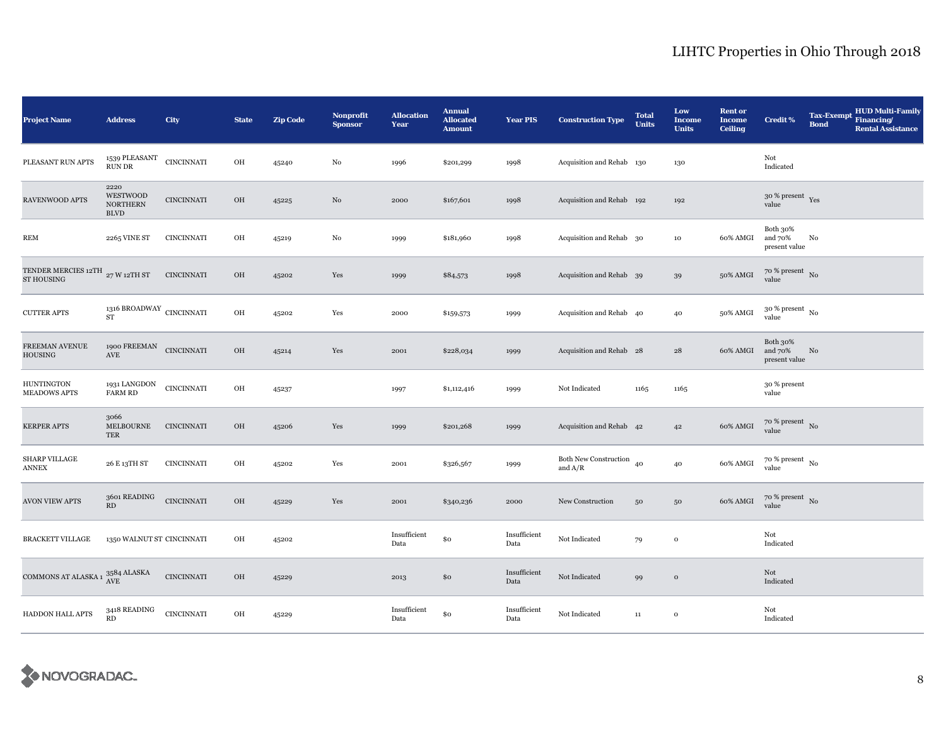| <b>Project Name</b>                                             | <b>Address</b>                                           | <b>City</b>       | <b>State</b> | <b>Zip Code</b> | Nonprofit<br><b>Sponsor</b> | <b>Allocation</b><br>Year | <b>Annual</b><br><b>Allocated</b><br><b>Amount</b> | <b>Year PIS</b>      | <b>Construction Type</b>              | <b>Total</b><br><b>Units</b> | Low<br><b>Income</b><br><b>Units</b> | <b>Rent or</b><br><b>Income</b><br><b>Ceiling</b> | <b>Credit %</b>                        | <b>Tax-Exempt</b><br><b>Bond</b> | <b>HUD Multi-Family</b><br>Financing/<br><b>Rental Assistance</b> |
|-----------------------------------------------------------------|----------------------------------------------------------|-------------------|--------------|-----------------|-----------------------------|---------------------------|----------------------------------------------------|----------------------|---------------------------------------|------------------------------|--------------------------------------|---------------------------------------------------|----------------------------------------|----------------------------------|-------------------------------------------------------------------|
| PLEASANT RUN APTS                                               | 1539 PLEASANT CINCINNATI<br><b>RUN DR</b>                |                   | OH           | 45240           | No                          | 1996                      | \$201,299                                          | 1998                 | Acquisition and Rehab 130             |                              | 130                                  |                                                   | Not<br>Indicated                       |                                  |                                                                   |
| RAVENWOOD APTS                                                  | 2220<br>WESTWOOD<br><b>NORTHERN</b><br><b>BLVD</b>       | <b>CINCINNATI</b> | $\rm OH$     | 45225           | $\rm No$                    | 2000                      | \$167,601                                          | 1998                 | Acquisition and Rehab 192             |                              | 192                                  |                                                   | $30\,\%$ present $\,$ Yes value        |                                  |                                                                   |
| <b>REM</b>                                                      | 2265 VINE ST                                             | <b>CINCINNATI</b> | OH           | 45219           | No                          | 1999                      | \$181,960                                          | 1998                 | Acquisition and Rehab 30              |                              | 10                                   | 60% AMGI                                          | Both 30%<br>and 70%<br>present value   | No                               |                                                                   |
| TENDER MERCIES 12TH $_{\,27\,\mathrm{W}}$ 12TH ST<br>ST HOUSING |                                                          | <b>CINCINNATI</b> | $_{\rm OH}$  | 45202           | Yes                         | 1999                      | \$84,573                                           | 1998                 | Acquisition and Rehab 39              |                              | 39                                   | 50% AMGI                                          | $70~\%$ present $~$ No value           |                                  |                                                                   |
| <b>CUTTER APTS</b>                                              | 1316 BROADWAY CINCINNATI<br>$\overline{\text{ST}}$       |                   | $\rm OH$     | 45202           | Yes                         | 2000                      | \$159,573                                          | 1999                 | Acquisition and Rehab 40              |                              | 40                                   | 50% AMGI                                          | $30$ % present $_{\, \rm No}$<br>value |                                  |                                                                   |
| FREEMAN AVENUE<br><b>HOUSING</b>                                | 1900 $\mbox{FREEMAN}$ CINCINNATI<br>$\operatorname{AVE}$ |                   | $_{\rm OH}$  | 45214           | Yes                         | 2001                      | \$228,034                                          | 1999                 | Acquisition and Rehab 28              |                              | 28                                   | 60% AMGI                                          | Both 30%<br>and 70%<br>present value   | No                               |                                                                   |
| <b>HUNTINGTON</b><br><b>MEADOWS APTS</b>                        | 1931 LANGDON<br><b>FARM RD</b>                           | <b>CINCINNATI</b> | OH           | 45237           |                             | 1997                      | \$1,112,416                                        | 1999                 | Not Indicated                         | 1165                         | 1165                                 |                                                   | 30 % present<br>value                  |                                  |                                                                   |
| <b>KERPER APTS</b>                                              | 3066<br><b>MELBOURNE</b><br>TER                          | <b>CINCINNATI</b> | OH           | 45206           | Yes                         | 1999                      | \$201,268                                          | 1999                 | Acquisition and Rehab 42              |                              | 42                                   | 60% AMGI                                          | 70 % present No<br>value               |                                  |                                                                   |
| SHARP VILLAGE<br><b>ANNEX</b>                                   | 26 E 13TH ST                                             | <b>CINCINNATI</b> | OH           | 45202           | Yes                         | 2001                      | \$326,567                                          | 1999                 | Both New Construction 40<br>and $A/R$ |                              | 40                                   | 60% AMGI                                          | $70~\%$ present $~$ No value           |                                  |                                                                   |
| <b>AVON VIEW APTS</b>                                           | 3601 READING<br>RD                                       | <b>CINCINNATI</b> | $_{\rm OH}$  | 45229           | Yes                         | 2001                      | \$340,236                                          | 2000                 | New Construction                      | 50                           | 50                                   | 60% AMGI                                          | $70$ % present $_{\rm No}$             |                                  |                                                                   |
| <b>BRACKETT VILLAGE</b>                                         | 1350 WALNUT ST CINCINNATI                                |                   | OH           | 45202           |                             | Insufficient<br>Data      | \$0                                                | Insufficient<br>Data | Not Indicated                         | 79                           | $\mathbf{o}$                         |                                                   | Not<br>Indicated                       |                                  |                                                                   |
| COMMONS AT ALASKA 1 $^{3584}_{\rm{AVE}}$ ALASKA                 |                                                          | <b>CINCINNATI</b> | OH           | 45229           |                             | 2013                      | \$0                                                | Insufficient<br>Data | Not Indicated                         | 99                           | $\,$ O                               |                                                   | Not<br>Indicated                       |                                  |                                                                   |
| HADDON HALL APTS                                                | 3418 READING<br>RD                                       | <b>CINCINNATI</b> | OH           | 45229           |                             | Insufficient<br>Data      | \$0                                                | Insufficient<br>Data | Not Indicated                         | $11\,$                       | $\mathbf 0$                          |                                                   | Not<br>Indicated                       |                                  |                                                                   |

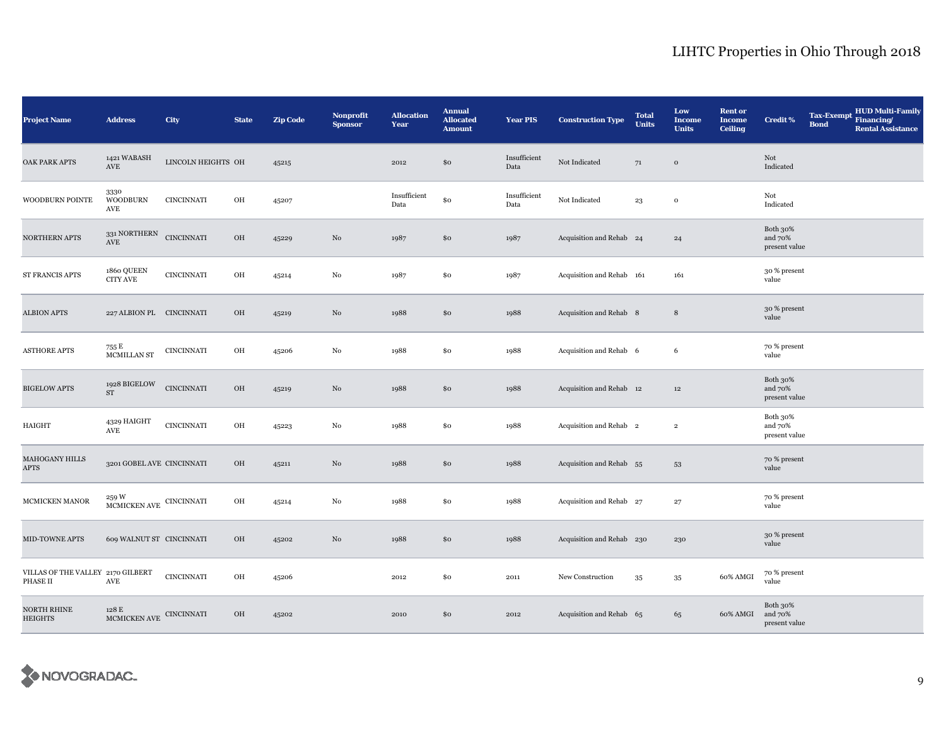| <b>Project Name</b>                           | <b>Address</b>                                                            | City               | <b>State</b> | <b>Zip Code</b> | Nonprofit<br><b>Sponsor</b> | <b>Allocation</b><br>Year | <b>Annual</b><br><b>Allocated</b><br><b>Amount</b> | <b>Year PIS</b>      | <b>Construction Type</b>  | <b>Total</b><br><b>Units</b> | Low<br><b>Income</b><br><b>Units</b> | <b>Rent or</b><br><b>Income</b><br><b>Ceiling</b> | <b>Credit %</b>                      | <b>Tax-Exempt</b><br><b>Bond</b> | <b>HUD Multi-Family</b><br>Financing/<br><b>Rental Assistance</b> |
|-----------------------------------------------|---------------------------------------------------------------------------|--------------------|--------------|-----------------|-----------------------------|---------------------------|----------------------------------------------------|----------------------|---------------------------|------------------------------|--------------------------------------|---------------------------------------------------|--------------------------------------|----------------------------------|-------------------------------------------------------------------|
| OAK PARK APTS                                 | 1421 WABASH<br>$\operatorname{AVE}$                                       | LINCOLN HEIGHTS OH |              | 45215           |                             | 2012                      | \$0                                                | Insufficient<br>Data | Not Indicated             | 71                           | $\,$ O                               |                                                   | Not<br>Indicated                     |                                  |                                                                   |
| WOODBURN POINTE                               | 3330<br><b>WOODBURN</b><br>$\operatorname{AVE}$                           | CINCINNATI         | OH           | 45207           |                             | Insufficient<br>Data      | \$0                                                | Insufficient<br>Data | Not Indicated             | $^{\rm 23}$                  | $\mathbf{o}$                         |                                                   | Not<br>Indicated                     |                                  |                                                                   |
| <b>NORTHERN APTS</b>                          | 331 NORTHERN<br>AVE                                                       | CINCINNATI         | $_{\rm OH}$  | 45229           | $\rm No$                    | 1987                      | \$0                                                | 1987                 | Acquisition and Rehab 24  |                              | 24                                   |                                                   | Both 30%<br>and 70%<br>present value |                                  |                                                                   |
| ST FRANCIS APTS                               | 1860 QUEEN<br><b>CITY AVE</b>                                             | <b>CINCINNATI</b>  | OH           | 45214           | No                          | 1987                      | \$0                                                | 1987                 | Acquisition and Rehab 161 |                              | 161                                  |                                                   | 30 % present<br>value                |                                  |                                                                   |
| <b>ALBION APTS</b>                            | 227 ALBION PL CINCINNATI                                                  |                    | OH           | 45219           | No                          | 1988                      | \$0                                                | 1988                 | Acquisition and Rehab 8   |                              | $\,8\,$                              |                                                   | 30 % present<br>value                |                                  |                                                                   |
| <b>ASTHORE APTS</b>                           | $755$ E $\,$ MCMILLAN ST                                                  | $\sf CINCINNATI$   | OH           | 45206           | No                          | 1988                      | \$0                                                | 1988                 | Acquisition and Rehab 6   |                              | 6                                    |                                                   | 70 % present<br>value                |                                  |                                                                   |
| <b>BIGELOW APTS</b>                           | 1928 BIGELOW<br>${\rm ST}$                                                | <b>CINCINNATI</b>  | $_{\rm OH}$  | 45219           | $\rm No$                    | 1988                      | \$0                                                | 1988                 | Acquisition and Rehab 12  |                              | $12\,$                               |                                                   | Both 30%<br>and 70%<br>present value |                                  |                                                                   |
| <b>HAIGHT</b>                                 | 4329 HAIGHT<br>$\operatorname{AVE}$                                       | <b>CINCINNATI</b>  | OH           | 45223           | $\rm No$                    | 1988                      | \$0                                                | 1988                 | Acquisition and Rehab 2   |                              | $\,2\,$                              |                                                   | Both 30%<br>and 70%<br>present value |                                  |                                                                   |
| MAHOGANY HILLS<br>APTS                        | 3201 GOBEL AVE CINCINNATI                                                 |                    | OH           | 45211           | No                          | 1988                      | \$0                                                | 1988                 | Acquisition and Rehab 55  |                              | $53\,$                               |                                                   | 70 % present<br>value                |                                  |                                                                   |
| MCMICKEN MANOR                                | $\begin{array}{ll}\textbf{MCMICKEN AVE} & \textbf{CINCINNATT}\end{array}$ |                    | OH           | 45214           | No                          | 1988                      | \$0                                                | 1988                 | Acquisition and Rehab 27  |                              | 27                                   |                                                   | 70 % present<br>value                |                                  |                                                                   |
| MID-TOWNE APTS                                | 609 WALNUT ST CINCINNATI                                                  |                    | OH           | 45202           | No                          | 1988                      | \$0                                                | 1988                 | Acquisition and Rehab 230 |                              | 230                                  |                                                   | 30 % present<br>value                |                                  |                                                                   |
| VILLAS OF THE VALLEY 2170 GILBERT<br>PHASE II | $\operatorname{AVE}$                                                      | <b>CINCINNATI</b>  | OH           | 45206           |                             | 2012                      | \$0                                                | 2011                 | New Construction          | 35                           | $35\,$                               | 60% AMGI                                          | 70 % present<br>value                |                                  |                                                                   |
| NORTH RHINE<br>HEIGHTS                        | 128 E<br>MCMICKEN AVE CINCINNATI                                          |                    | OH           | 45202           |                             | 2010                      | \$0                                                | 2012                 | Acquisition and Rehab 65  |                              | 65                                   | 60% AMGI                                          | Both 30%<br>and 70%<br>present value |                                  |                                                                   |

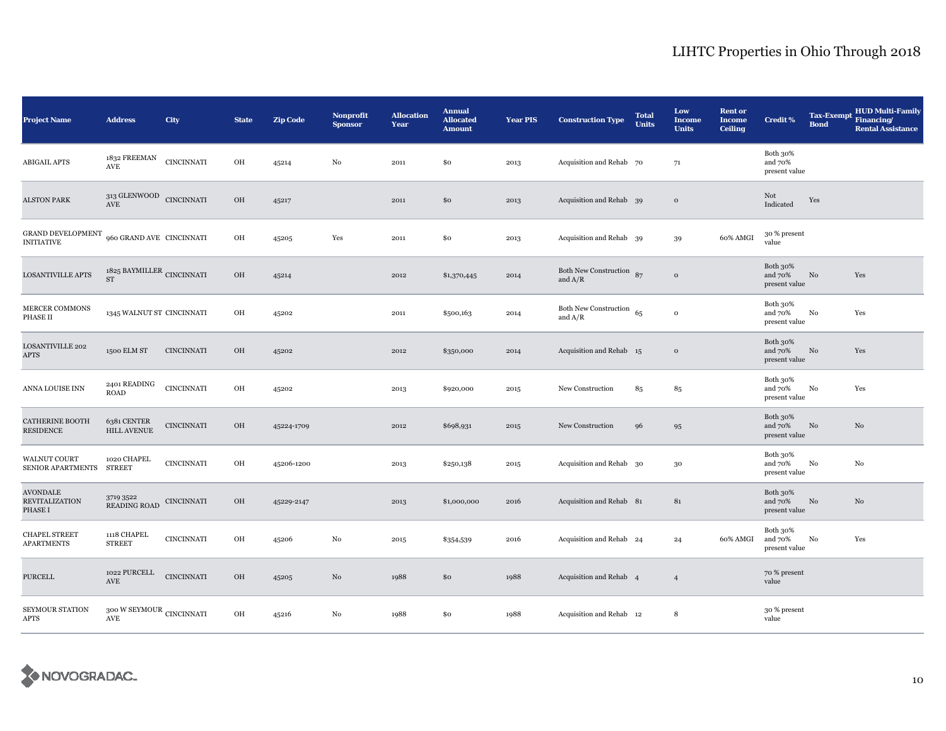| <b>Project Name</b>                                 | <b>Address</b>                                    | City              | <b>State</b> | <b>Zip Code</b> | <b>Nonprofit</b><br><b>Sponsor</b> | <b>Allocation</b><br>Year | <b>Annual</b><br><b>Allocated</b><br><b>Amount</b> | <b>Year PIS</b> | <b>Construction Type</b>                | <b>Total</b><br><b>Units</b> | Low<br><b>Income</b><br><b>Units</b> | <b>Rent or</b><br><b>Income</b><br><b>Ceiling</b> | <b>Credit %</b>                      | <b>Tax-Exempt</b><br><b>Bond</b> | <b>HUD Multi-Family</b><br>Financing/<br><b>Rental Assistance</b> |
|-----------------------------------------------------|---------------------------------------------------|-------------------|--------------|-----------------|------------------------------------|---------------------------|----------------------------------------------------|-----------------|-----------------------------------------|------------------------------|--------------------------------------|---------------------------------------------------|--------------------------------------|----------------------------------|-------------------------------------------------------------------|
| <b>ABIGAIL APTS</b>                                 | 1832 FREEMAN<br>AVE                               | <b>CINCINNATI</b> | OH           | 45214           | $_{\rm No}$                        | 2011                      | \$0                                                | 2013            | Acquisition and Rehab 70                |                              | 71                                   |                                                   | Both 30%<br>and 70%<br>present value |                                  |                                                                   |
| <b>ALSTON PARK</b>                                  | $313\, \rm{GLENWOOD}$ CINCINNATI AVE              |                   | OH           | 45217           |                                    | 2011                      | \$0                                                | 2013            | Acquisition and Rehab 39                |                              | $\,$ O                               |                                                   | Not<br>Indicated                     | Yes                              |                                                                   |
| GRAND DEVELOPMENT<br><b>INITIATIVE</b>              | 960 GRAND AVE CINCINNATI                          |                   | OH           | 45205           | Yes                                | 2011                      | \$0                                                | 2013            | Acquisition and Rehab 39                |                              | 39                                   | 60% AMGI                                          | 30 % present<br>value                |                                  |                                                                   |
| <b>LOSANTIVILLE APTS</b>                            | 1825 BAYMILLER CINCINNATI<br><b>ST</b>            |                   | OH           | 45214           |                                    | 2012                      | \$1,370,445                                        | 2014            | Both New Construction 87<br>and $A/R$   |                              | $\mathbf{o}$                         |                                                   | Both 30%<br>and 70%<br>present value | $\rm No$                         | Yes                                                               |
| MERCER COMMONS<br>PHASE II                          | 1345 WALNUT ST CINCINNATI                         |                   | OH           | 45202           |                                    | 2011                      | \$500,163                                          | 2014            | Both New Construction $65$<br>and $A/R$ |                              | $\mathbf{o}$                         |                                                   | Both 30%<br>and 70%<br>present value | No                               | Yes                                                               |
| LOSANTIVILLE 202<br>APTS                            | 1500 ELM ST                                       | <b>CINCINNATI</b> | OH           | 45202           |                                    | 2012                      | \$350,000                                          | 2014            | Acquisition and Rehab 15                |                              | $\mathbf{o}$                         |                                                   | Both 30%<br>and 70%<br>present value | No                               | Yes                                                               |
| ANNA LOUISE INN                                     | 2401 READING<br><b>ROAD</b>                       | <b>CINCINNATI</b> | OH           | 45202           |                                    | 2013                      | \$920,000                                          | 2015            | New Construction                        | 85                           | 85                                   |                                                   | Both 30%<br>and 70%<br>present value | No                               | Yes                                                               |
| <b>CATHERINE BOOTH</b><br><b>RESIDENCE</b>          | 6381 CENTER<br><b>HILL AVENUE</b>                 | <b>CINCINNATI</b> | OH           | 45224-1709      |                                    | 2012                      | \$698,931                                          | 2015            | New Construction                        | 96                           | 95                                   |                                                   | Both 30%<br>and 70%<br>present value | No                               | $_{\rm No}$                                                       |
| <b>WALNUT COURT</b><br><b>SENIOR APARTMENTS</b>     | 1020 CHAPEL<br><b>STREET</b>                      | $\sf CINCINNATI$  | OH           | 45206-1200      |                                    | 2013                      | \$250,138                                          | 2015            | Acquisition and Rehab 30                |                              | $30\,$                               |                                                   | Both 30%<br>and 70%<br>present value | No                               | No                                                                |
| <b>AVONDALE</b><br><b>REVITALIZATION</b><br>PHASE I | 3719 3522<br>READING ROAD                         | <b>CINCINNATI</b> | OH           | 45229-2147      |                                    | 2013                      | \$1,000,000                                        | 2016            | Acquisition and Rehab 81                |                              | 81                                   |                                                   | Both 30%<br>and 70%<br>present value | $\rm No$                         | No                                                                |
| <b>CHAPEL STREET</b><br><b>APARTMENTS</b>           | 1118 CHAPEL<br><b>STREET</b>                      | <b>CINCINNATI</b> | OH           | 45206           | No                                 | 2015                      | \$354,539                                          | 2016            | Acquisition and Rehab 24                |                              | 24                                   | 60% AMGI                                          | Both 30%<br>and 70%<br>present value | No                               | Yes                                                               |
| <b>PURCELL</b>                                      | 1022 PURCELL<br>$\operatorname{AVE}$              | <b>CINCINNATI</b> | $_{\rm OH}$  | 45205           | No                                 | 1988                      | \$0                                                | 1988            | Acquisition and Rehab 4                 |                              | $\overline{4}$                       |                                                   | 70 % present<br>value                |                                  |                                                                   |
| SEYMOUR STATION<br>APTS                             | $_{\rm 300}$ W SEYMOUR $_{\rm CINCINNATT}$<br>AVE |                   | OH           | 45216           | No                                 | 1988                      | \$0                                                | 1988            | Acquisition and Rehab 12                |                              | 8                                    |                                                   | 30 % present<br>value                |                                  |                                                                   |

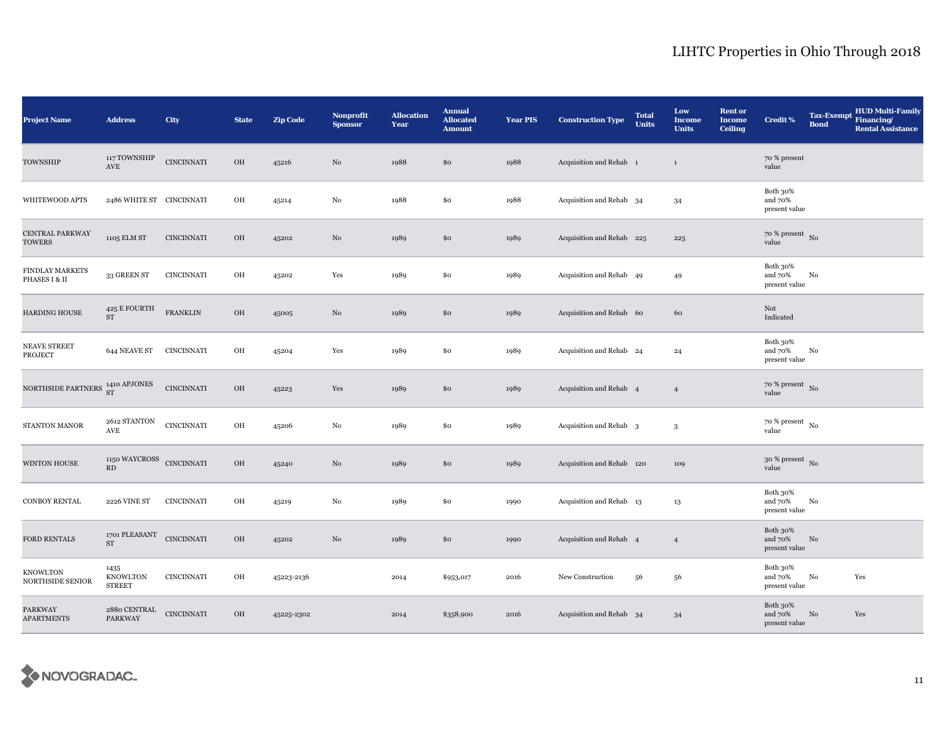| <b>Project Name</b>                 | <b>Address</b>                                                  | City              | <b>State</b> | <b>Zip Code</b> | Nonprofit<br><b>Sponsor</b> | <b>Allocation</b><br>Year | <b>Annual</b><br><b>Allocated</b><br><b>Amount</b> | <b>Year PIS</b> | <b>Construction Type</b>           | <b>Total</b><br><b>Units</b> | Low<br><b>Income</b><br><b>Units</b> | <b>Rent or</b><br><b>Income</b><br><b>Ceiling</b> | <b>Credit %</b>                      | <b>Tax-Exempt</b><br><b>Bond</b> | <b>HUD Multi-Family</b><br>Financing/<br><b>Rental Assistance</b> |
|-------------------------------------|-----------------------------------------------------------------|-------------------|--------------|-----------------|-----------------------------|---------------------------|----------------------------------------------------|-----------------|------------------------------------|------------------------------|--------------------------------------|---------------------------------------------------|--------------------------------------|----------------------------------|-------------------------------------------------------------------|
| TOWNSHIP                            | 117 TOWNSHIP<br>$\operatorname{AVE}$                            | <b>CINCINNATI</b> | OH           | 45216           | No                          | 1988                      | \$0                                                | 1988            | Acquisition and Rehab 1            |                              | $\mathbf{1}$                         |                                                   | 70 % present<br>value                |                                  |                                                                   |
| WHITEWOOD APTS                      | 2486 WHITE ST CINCINNATI                                        |                   | OH           | 45214           | $\rm No$                    | 1988                      | \$0                                                | 1988            | Acquisition and Rehab 34           |                              | 34                                   |                                                   | Both 30%<br>and 70%<br>present value |                                  |                                                                   |
| CENTRAL PARKWAY<br><b>TOWERS</b>    | 1105 ELM ST                                                     | <b>CINCINNATI</b> | OH           | 45202           | No                          | 1989                      | \$0                                                | 1989            | Acquisition and Rehab 225          |                              | 225                                  |                                                   | $70$ % present $\,$ No $\,$<br>value |                                  |                                                                   |
| FINDLAY MARKETS<br>PHASES I & II    | 33 GREEN ST                                                     | <b>CINCINNATI</b> | OH           | 45202           | Yes                         | 1989                      | \$0                                                | 1989            | Acquisition and Rehab 49           |                              | 49                                   |                                                   | Both 30%<br>and 70%<br>present value | No                               |                                                                   |
| <b>HARDING HOUSE</b>                | 425 E FOURTH<br><b>ST</b>                                       | <b>FRANKLIN</b>   | OH           | 45005           | $\rm No$                    | 1989                      | \$0                                                | 1989            | Acquisition and Rehab 60           |                              | 60                                   |                                                   | Not<br>Indicated                     |                                  |                                                                   |
| NEAVE STREET<br>PROJECT             | 644 NEAVE ST                                                    | CINCINNATI        | OH           | 45204           | Yes                         | 1989                      | \$0                                                | 1989            | Acquisition and Rehab 24           |                              | 24                                   |                                                   | Both 30%<br>and 70%<br>present value | No                               |                                                                   |
| NORTHSIDE PARTNERS                  | $1410$ APJONES $\,$ ST $\,$                                     | <b>CINCINNATI</b> | OH           | 45223           | Yes                         | 1989                      | \$0                                                | 1989            | Acquisition and Rehab 4            |                              | $\overline{4}$                       |                                                   | $70~\%$ present $~$ No value         |                                  |                                                                   |
| STANTON MANOR                       | $2612$ STANTON $\,$<br>$\operatorname{AVE}$                     | <b>CINCINNATI</b> | OH           | 45206           | No                          | 1989                      | \$0                                                | 1989            | Acquisition and Rehab <sub>3</sub> |                              | $\mathbf{3}$                         |                                                   | $70$ % present $\,$ No $\,$<br>value |                                  |                                                                   |
| <b>WINTON HOUSE</b>                 | $1150\text{ WAYCROS}\quad$ CINCINNATI<br>$\mathbf{R}\mathbf{D}$ |                   | OH           | 45240           | $\rm No$                    | 1989                      | \$0                                                | 1989            | Acquisition and Rehab 120          |                              | 109                                  |                                                   | $30~\%$ present $~$ No value         |                                  |                                                                   |
| <b>CONBOY RENTAL</b>                | 2226 VINE ST                                                    | <b>CINCINNATI</b> | OH           | 45219           | $_{\rm No}$                 | 1989                      | \$0                                                | 1990            | Acquisition and Rehab 13           |                              | 13                                   |                                                   | Both 30%<br>and 70%<br>present value | No                               |                                                                   |
| FORD RENTALS                        | 1701 PLEASANT CINCINNATI<br><b>ST</b>                           |                   | OH           | 45202           | No                          | 1989                      | \$0                                                | 1990            | Acquisition and Rehab 4            |                              | $\overline{4}$                       |                                                   | Both 30%<br>and 70%<br>present value | No                               |                                                                   |
| <b>KNOWLTON</b><br>NORTHSIDE SENIOR | 1435<br>KNOWLTON<br><b>STREET</b>                               | <b>CINCINNATI</b> | OH           | 45223-2136      |                             | 2014                      | \$953,017                                          | 2016            | New Construction                   | 56                           | 56                                   |                                                   | Both 30%<br>and 70%<br>present value | No                               | Yes                                                               |
| <b>PARKWAY</b><br><b>APARTMENTS</b> | 2880 CENTRAL<br>PARKWAY                                         | <b>CINCINNATI</b> | OH           | 45225-2302      |                             | 2014                      | \$358,900                                          | 2016            | Acquisition and Rehab 34           |                              | 34                                   |                                                   | Both 30%<br>and 70%<br>present value | No                               | Yes                                                               |